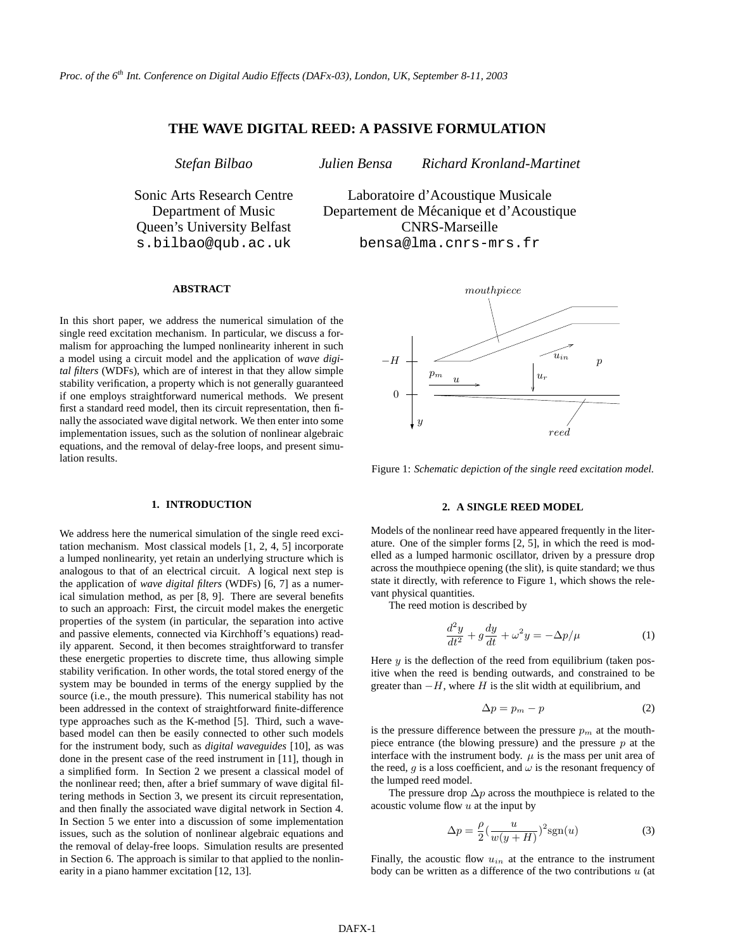# **THE WAVE DIGITAL REED: A PASSIVE FORMULATION**

*Stefan Bilbao*

Sonic Arts Research Centre Department of Music Queen's University Belfast s.bilbao@qub.ac.uk

# **ABSTRACT**

In this short paper, we address the numerical simulation of the single reed excitation mechanism. In particular, we discuss a formalism for approaching the lumped nonlinearity inherent in such a model using a circuit model and the application of *wave digital filters* (WDFs), which are of interest in that they allow simple stability verification, a property which is not generally guaranteed if one employs straightforward numerical methods. We present first a standard reed model, then its circuit representation, then finally the associated wave digital network. We then enter into some implementation issues, such as the solution of nonlinear algebraic equations, and the removal of delay-free loops, and present simulation results.

## **1. INTRODUCTION**

We address here the numerical simulation of the single reed excitation mechanism. Most classical models [1, 2, 4, 5] incorporate a lumped nonlinearity, yet retain an underlying structure which is analogous to that of an electrical circuit. A logical next step is the application of *wave digital filters* (WDFs) [6, 7] as a numerical simulation method, as per [8, 9]. There are several benefits to such an approach: First, the circuit model makes the energetic properties of the system (in particular, the separation into active and passive elements, connected via Kirchhoff's equations) readily apparent. Second, it then becomes straightforward to transfer these energetic properties to discrete time, thus allowing simple stability verification. In other words, the total stored energy of the system may be bounded in terms of the energy supplied by the source (i.e., the mouth pressure). This numerical stability has not been addressed in the context of straightforward finite-difference type approaches such as the K-method [5]. Third, such a wavebased model can then be easily connected to other such models for the instrument body, such as *digital waveguides* [10], as was done in the present case of the reed instrument in [11], though in a simplified form. In Section 2 we present a classical model of the nonlinear reed; then, after a brief summary of wave digital filtering methods in Section 3, we present its circuit representation, and then finally the associated wave digital network in Section 4. In Section 5 we enter into a discussion of some implementation issues, such as the solution of nonlinear algebraic equations and the removal of delay-free loops. Simulation results are presented in Section 6. The approach is similar to that applied to the nonlinearity in a piano hammer excitation [12, 13].

*Julien Bensa Richard Kronland-Martinet*

Laboratoire d'Acoustique Musicale Departement de Mécanique et d'Acoustique CNRS-Marseille bensa@lma.cnrs-mrs.fr



Figure 1: *Schematic depiction of the single reed excitation model.*

## **2. A SINGLE REED MODEL**

Models of the nonlinear reed have appeared frequently in the literature. One of the simpler forms [2, 5], in which the reed is modelled as a lumped harmonic oscillator, driven by a pressure drop across the mouthpiece opening (the slit), is quite standard; we thus state it directly, with reference to Figure 1, which shows the relevant physical quantities.

The reed motion is described by

$$
\frac{d^2y}{dt^2} + g\frac{dy}{dt} + \omega^2 y = -\Delta p/\mu
$$
 (1)

Here  $y$  is the deflection of the reed from equilibrium (taken positive when the reed is bending outwards, and constrained to be greater than  $-H$ , where H is the slit width at equilibrium, and

$$
\Delta p = p_m - p \tag{2}
$$

is the pressure difference between the pressure  $p<sub>m</sub>$  at the mouthpiece entrance (the blowing pressure) and the pressure  $p$  at the interface with the instrument body.  $\mu$  is the mass per unit area of the reed, g is a loss coefficient, and  $\omega$  is the resonant frequency of the lumped reed model.

The pressure drop  $\Delta p$  across the mouthpiece is related to the acoustic volume flow  $u$  at the input by

$$
\Delta p = \frac{\rho}{2} \left( \frac{u}{w(y+H)} \right)^2 \text{sgn}(u) \tag{3}
$$

Finally, the acoustic flow  $u_{in}$  at the entrance to the instrument body can be written as a difference of the two contributions  $u$  (at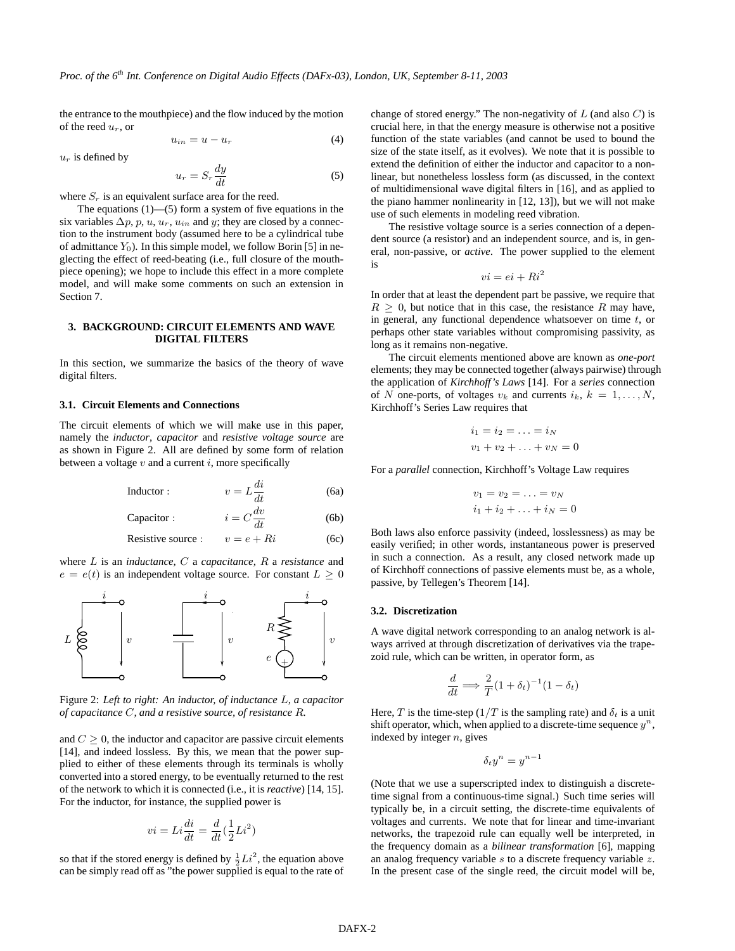the entrance to the mouthpiece) and the flow induced by the motion of the reed  $u_r$ , or

 $u_{in} = u - u_r$  (4)

 $u_r$  is defined by

$$
u_r = S_r \frac{dy}{dt} \tag{5}
$$

where  $S_r$  is an equivalent surface area for the reed.

The equations  $(1)$ — $(5)$  form a system of five equations in the six variables  $\Delta p$ , p, u,  $u_r$ ,  $u_{in}$  and y; they are closed by a connection to the instrument body (assumed here to be a cylindrical tube of admittance  $Y_0$ ). In this simple model, we follow Borin [5] in neglecting the effect of reed-beating (i.e., full closure of the mouthpiece opening); we hope to include this effect in a more complete model, and will make some comments on such an extension in Section 7.

# **3. BACKGROUND: CIRCUIT ELEMENTS AND WAVE DIGITAL FILTERS**

In this section, we summarize the basics of the theory of wave digital filters.

## **3.1. Circuit Elements and Connections**

The circuit elements of which we will make use in this paper, namely the *inductor*, *capacitor* and *resistive voltage source* are as shown in Figure 2. All are defined by some form of relation between a voltage  $v$  and a current  $i$ , more specifically

Inductor : 
$$
v = L \frac{di}{dt}
$$
 (6a)

Capacitor :  $i = C \frac{dv}{dt}$  $\frac{dv}{dt}$  (6b)

Resistive source : 
$$
v = e + Ri
$$
 (6c)

where L is an *inductance*, C a *capacitance*, R a *resistance* and  $e = e(t)$  is an independent voltage source. For constant  $L \geq 0$ 



Figure 2: *Left to right: An inductor, of inductance* L*, a capacitor of capacitance* C*, and a resistive source, of resistance* R*.*

and  $C \geq 0$ , the inductor and capacitor are passive circuit elements [14], and indeed lossless. By this, we mean that the power supplied to either of these elements through its terminals is wholly converted into a stored energy, to be eventually returned to the rest of the network to which it is connected (i.e., it is *reactive*) [14, 15]. For the inductor, for instance, the supplied power is

$$
vi = Li \frac{di}{dt} = \frac{d}{dt} \left(\frac{1}{2}Li^2\right)
$$

so that if the stored energy is defined by  $\frac{1}{2}Li^2$ , the equation above can be simply read off as "the power supplied is equal to the rate of change of stored energy." The non-negativity of  $L$  (and also  $C$ ) is crucial here, in that the energy measure is otherwise not a positive function of the state variables (and cannot be used to bound the size of the state itself, as it evolves). We note that it is possible to extend the definition of either the inductor and capacitor to a nonlinear, but nonetheless lossless form (as discussed, in the context of multidimensional wave digital filters in [16], and as applied to the piano hammer nonlinearity in [12, 13]), but we will not make use of such elements in modeling reed vibration.

The resistive voltage source is a series connection of a dependent source (a resistor) and an independent source, and is, in general, non-passive, or *active*. The power supplied to the element is

$$
vi = ei + Ri^2
$$

In order that at least the dependent part be passive, we require that  $R > 0$ , but notice that in this case, the resistance R may have, in general, any functional dependence whatsoever on time  $t$ , or perhaps other state variables without compromising passivity, as long as it remains non-negative.

The circuit elements mentioned above are known as *one-port* elements; they may be connected together (always pairwise) through the application of *Kirchhoff's Laws* [14]. For a *series* connection of N one-ports, of voltages  $v_k$  and currents  $i_k$ ,  $k = 1, \ldots, N$ , Kirchhoff's Series Law requires that

$$
i_1 = i_2 = \dots = i_N
$$
  

$$
v_1 + v_2 + \dots + v_N = 0
$$

For a *parallel* connection, Kirchhoff's Voltage Law requires

$$
v_1 = v_2 = \ldots = v_N
$$
  

$$
i_1 + i_2 + \ldots + i_N = 0
$$

Both laws also enforce passivity (indeed, losslessness) as may be easily verified; in other words, instantaneous power is preserved in such a connection. As a result, any closed network made up of Kirchhoff connections of passive elements must be, as a whole, passive, by Tellegen's Theorem [14].

#### **3.2. Discretization**

A wave digital network corresponding to an analog network is alzoid rule, which can be written, in operator form, as

$$
\frac{d}{dt} \Longrightarrow \frac{2}{T} (1 + \delta_t)^{-1} (1 - \delta_t)
$$

Here, T is the time-step  $(1/T)$  is the sampling rate) and  $\delta_t$  is a unit shift operator, which, when applied to a discrete-time sequence  $y^n$ , indexed by integer  $n$ , gives

$$
\delta_t y^n = y^{n-1}
$$

(Note that we use a superscripted index to distinguish a discretetime signal from a continuous-time signal.) Such time series will typically be, in a circuit setting, the discrete-time equivalents of voltages and currents. We note that for linear and time-invariant networks, the trapezoid rule can equally well be interpreted, in the frequency domain as a *bilinear transformation* [6], mapping an analog frequency variable s to a discrete frequency variable z. In the present case of the single reed, the circuit model will be,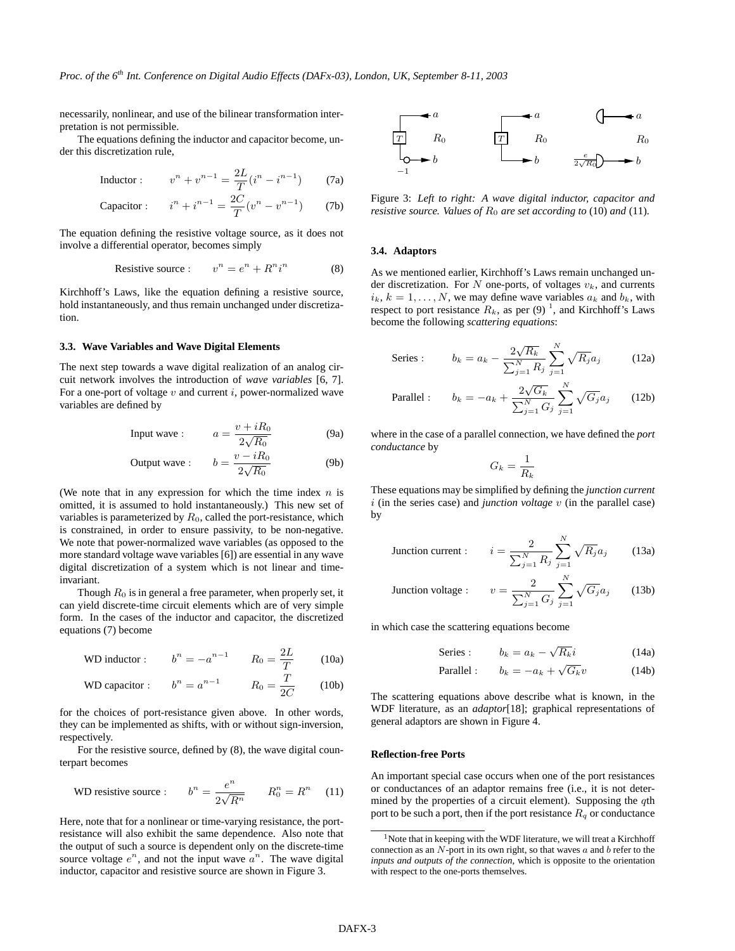necessarily, nonlinear, and use of the bilinear transformation interpretation is not permissible.

The equations defining the inductor and capacitor become, under this discretization rule,

Inductor : 
$$
v^n + v^{n-1} = \frac{2L}{T}(i^n - i^{n-1})
$$
 (7a)

Capacitor : 
$$
i^n + i^{n-1} = \frac{2C}{T}(v^n - v^{n-1})
$$
 (7b)

The equation defining the resistive voltage source, as it does not involve a differential operator, becomes simply

Resistive source : 
$$
v^n = e^n + R^n i^n
$$
 (8)

Kirchhoff's Laws, like the equation defining a resistive source, hold instantaneously, and thus remain unchanged under discretization.

#### **3.3. Wave Variables and Wave Digital Elements**

The next step towards a wave digital realization of an analog circuit network involves the introduction of *wave variables* [6, 7]. For a one-port of voltage  $v$  and current  $i$ , power-normalized wave variables are defined by

Input wave : 
$$
a = \frac{v + iR_0}{2\sqrt{R_0}}
$$
 (9a)

Output wave : 
$$
b = \frac{v - iR_0}{2\sqrt{R_0}}
$$
 (9b)

(We note that in any expression for which the time index  $n$  is omitted, it is assumed to hold instantaneously.) This new set of variables is parameterized by  $R_0$ , called the port-resistance, which is constrained, in order to ensure passivity, to be non-negative. We note that power-normalized wave variables (as opposed to the more standard voltage wave variables [6]) are essential in any wave digital discretization of a system which is not linear and timeinvariant.

Though  $R_0$  is in general a free parameter, when properly set, it can yield discrete-time circuit elements which are of very simple form. In the cases of the inductor and capacitor, the discretized equations (7) become

WD inductor : 
$$
b^n = -a^{n-1}
$$
  $R_0 = \frac{2L}{T}$  (10a)

WD capacitor : 
$$
b^n = a^{n-1}
$$
  $R_0 = \frac{T}{2C}$  (10b)

for the choices of port-resistance given above. In other words, they can be implemented as shifts, with or without sign-inversion, respectively.

For the resistive source, defined by (8), the wave digital counterpart becomes

WD resistive source : 
$$
b^n = \frac{e^n}{2\sqrt{R^n}}
$$
  $R_0^n = R^n$  (11)

Here, note that for a nonlinear or time-varying resistance, the portresistance will also exhibit the same dependence. Also note that the output of such a source is dependent only on the discrete-time source voltage  $e^n$ , and not the input wave  $a^n$ . The wave digital inductor, capacitor and resistive source are shown in Figure 3.



Figure 3: *Left to right: A wave digital inductor, capacitor and resistive source. Values of*  $R_0$  *are set according to* (10) *and* (11)*.* 

#### **3.4. Adaptors**

As we mentioned earlier, Kirchhoff's Laws remain unchanged under discretization. For  $N$  one-ports, of voltages  $v_k$ , and currents  $i_k, k = 1, \ldots, N$ , we may define wave variables  $a_k$  and  $b_k$ , with respect to port resistance  $R_k$ , as per (9)<sup>1</sup>, and Kirchhoff's Laws become the following *scattering equations*:

Series: 
$$
b_k = a_k - \frac{2\sqrt{R_k}}{\sum_{j=1}^{N} R_j} \sum_{j=1}^{N} \sqrt{R_j} a_j
$$
 (12a)

Parallel: 
$$
b_k = -a_k + \frac{2\sqrt{G_k}}{\sum_{j=1}^{N} G_j} \sum_{j=1}^{N} \sqrt{G_j} a_j
$$
 (12b)

where in the case of a parallel connection, we have defined the *port conductance* by

$$
G_k = \frac{1}{R_k}
$$

These equations may be simplified by defining the *junction current* i (in the series case) and *junction voltage* v (in the parallel case) by

Junction current : 
$$
i = \frac{2}{\sum_{j=1}^{N} R_j} \sum_{j=1}^{N} \sqrt{R_j} a_j
$$
 (13a)

Junction voltage : 
$$
v = \frac{2}{\sum_{j=1}^{N} G_j} \sum_{j=1}^{N} \sqrt{G_j} a_j
$$
 (13b)

in which case the scattering equations become

Series: 
$$
b_k = a_k - \sqrt{R_k}i
$$
 (14a)

Parallel: 
$$
b_k = -a_k + \sqrt{G_k}v
$$
 (14b)

The scattering equations above describe what is known, in the WDF literature, as an *adaptor*[18]; graphical representations of general adaptors are shown in Figure 4.

## **Reflection-free Ports**

An important special case occurs when one of the port resistances or conductances of an adaptor remains free (i.e., it is not determined by the properties of a circuit element). Supposing the  $q$ th port to be such a port, then if the port resistance  $R_q$  or conductance

<sup>&</sup>lt;sup>1</sup>Note that in keeping with the WDF literature, we will treat a Kirchhoff connection as an  $N$ -port in its own right, so that waves  $a$  and  $b$  refer to the *inputs and outputs of the connection*, which is opposite to the orientation with respect to the one-ports themselves.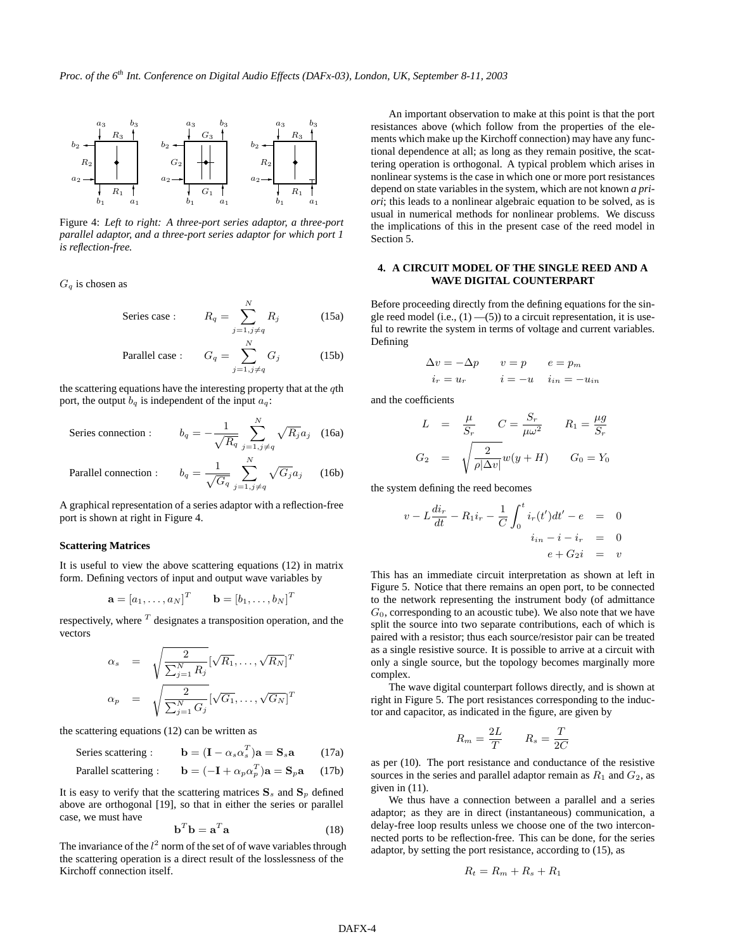*Proc. of the 6th Int. Conference on Digital Audio Effects (DAFx-03), London, UK, September 8-11, 2003*



Figure 4: *Left to right: A three-port series adaptor, a three-port parallel adaptor, and a three-port series adaptor for which port 1 is reflection-free.*

 $G_q$  is chosen as

Series case : 
$$
R_q = \sum_{j=1, j \neq q}^{N} R_j
$$
 (15a)

Parallel case : 
$$
G_q = \sum_{j=1, j \neq q}^{N} G_j
$$
 (15b)

the scattering equations have the interesting property that at the  $q$ th port, the output  $b_q$  is independent of the input  $a_q$ :

Series connection : 
$$
b_q = -\frac{1}{\sqrt{R_q}} \sum_{j=1, j \neq q}^{N} \sqrt{R_j} a_j
$$
 (16a)  
Parallel connection :  $b_q = \frac{1}{\sqrt{G_q}} \sum_{j=1, j \neq q}^{N} \sqrt{G_j} a_j$  (16b)

A graphical representation of a series adaptor with a reflection-free port is shown at right in Figure 4.

#### **Scattering Matrices**

It is useful to view the above scattering equations (12) in matrix form. Defining vectors of input and output wave variables by

$$
\mathbf{a} = [a_1, \dots, a_N]^T \qquad \mathbf{b} = [b_1, \dots, b_N]^T
$$

respectively, where  $<sup>T</sup>$  designates a transposition operation, and the</sup> vectors

$$
\alpha_s = \sqrt{\frac{2}{\sum_{j=1}^N R_j}} [\sqrt{R_1}, \dots, \sqrt{R_N}]^T
$$

$$
\alpha_p = \sqrt{\frac{2}{\sum_{j=1}^N G_j}} [\sqrt{G_1}, \dots, \sqrt{G_N}]^T
$$

the scattering equations (12) can be written as

Series scattering :  $\mathbf{b} = (\mathbf{I} - \alpha_s \alpha_s^T)\mathbf{a} = \mathbf{S}_s \mathbf{a}$  (17a)

Parallel scattering : 
$$
\mathbf{b} = (-\mathbf{I} + \alpha_p \alpha_p^T)\mathbf{a} = \mathbf{S}_p \mathbf{a}
$$
 (17b)

It is easy to verify that the scattering matrices  $S_s$  and  $S_p$  defined above are orthogonal [19], so that in either the series or parallel case, we must have

$$
\mathbf{b}^T \mathbf{b} = \mathbf{a}^T \mathbf{a} \tag{18}
$$

The invariance of the  $l^2$  norm of the set of of wave variables through the scattering operation is a direct result of the losslessness of the Kirchoff connection itself.

An important observation to make at this point is that the port resistances above (which follow from the properties of the elements which make up the Kirchoff connection) may have any functional dependence at all; as long as they remain positive, the scattering operation is orthogonal. A typical problem which arises in nonlinear systems is the case in which one or more port resistances depend on state variables in the system, which are not known *a priori*; this leads to a nonlinear algebraic equation to be solved, as is usual in numerical methods for nonlinear problems. We discuss the implications of this in the present case of the reed model in Section 5.

# **4. A CIRCUIT MODEL OF THE SINGLE REED AND A WAVE DIGITAL COUNTERPART**

Before proceeding directly from the defining equations for the single reed model (i.e.,  $(1)$  —(5)) to a circuit representation, it is useful to rewrite the system in terms of voltage and current variables. Defining

$$
\Delta v = -\Delta p \qquad v = p \qquad e = p_m
$$
  

$$
i_r = u_r \qquad i = -u \qquad i_{in} = -u_{in}
$$

and the coefficients

$$
L = \frac{\mu}{S_r} \qquad C = \frac{S_r}{\mu \omega^2} \qquad R_1 = \frac{\mu g}{S_r}
$$
  

$$
G_2 = \sqrt{\frac{2}{\rho |\Delta v|}} w(y+H) \qquad G_0 = Y_0
$$

the system defining the reed becomes

$$
v - L\frac{di_r}{dt} - Ri_r - \frac{1}{C} \int_0^t i_r(t')dt' - e = 0
$$
  

$$
i_{in} - i - i_r = 0
$$
  

$$
e + G_2 i = v
$$

This has an immediate circuit interpretation as shown at left in Figure 5. Notice that there remains an open port, to be connected to the network representing the instrument body (of admittance  $G<sub>0</sub>$ , corresponding to an acoustic tube). We also note that we have split the source into two separate contributions, each of which is paired with a resistor; thus each source/resistor pair can be treated as a single resistive source. It is possible to arrive at a circuit with only a single source, but the topology becomes marginally more complex.

The wave digital counterpart follows directly, and is shown at right in Figure 5. The port resistances corresponding to the inductor and capacitor, as indicated in the figure, are given by

$$
R_m = \frac{2L}{T} \qquad R_s = \frac{T}{2C}
$$

as per (10). The port resistance and conductance of the resistive sources in the series and parallel adaptor remain as  $R_1$  and  $G_2$ , as given in (11).

We thus have a connection between a parallel and a series adaptor; as they are in direct (instantaneous) communication, a delay-free loop results unless we choose one of the two interconnected ports to be reflection-free. This can be done, for the series adaptor, by setting the port resistance, according to (15), as

$$
R_t = R_m + R_s + R_1
$$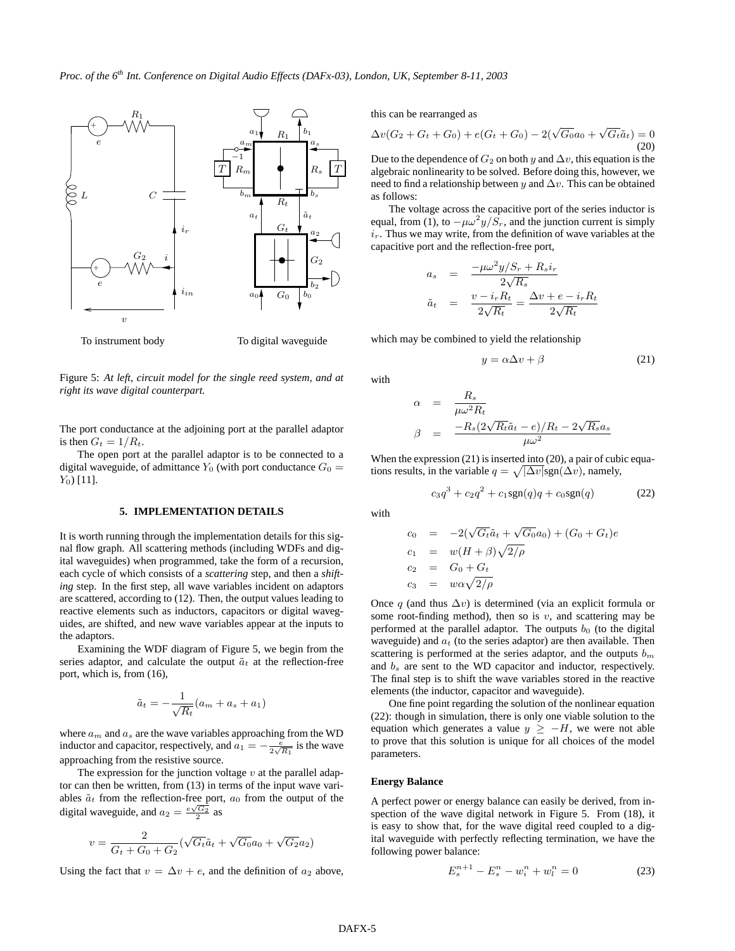

To instrument body To digital waveguide

Figure 5: *At left, circuit model for the single reed system, and at right its wave digital counterpart.*

The port conductance at the adjoining port at the parallel adaptor is then  $G_t = 1/R_t$ .

The open port at the parallel adaptor is to be connected to a digital waveguide, of admittance  $Y_0$  (with port conductance  $G_0 =$  $Y_0$ ) [11].

#### **5. IMPLEMENTATION DETAILS**

It is worth running through the implementation details for this signal flow graph. All scattering methods (including WDFs and digital waveguides) when programmed, take the form of a recursion, each cycle of which consists of a *scattering* step, and then a *shifting* step. In the first step, all wave variables incident on adaptors are scattered, according to (12). Then, the output values leading to reactive elements such as inductors, capacitors or digital waveguides, are shifted, and new wave variables appear at the inputs to the adaptors.

Examining the WDF diagram of Figure 5, we begin from the series adaptor, and calculate the output  $\tilde{a}_t$  at the reflection-free port, which is, from (16),

$$
\tilde{a}_t = -\frac{1}{\sqrt{R_t}}(a_m + a_s + a_1)
$$

where  $a_m$  and  $a_s$  are the wave variables approaching from the WD inductor and capacitor, respectively, and  $a_1 = -\frac{e}{2\sqrt{R_1}}$  is the wave approaching from the resistive source.

The expression for the junction voltage  $v$  at the parallel adaptor can then be written, from (13) in terms of the input wave variables  $\tilde{a}_t$  from the reflection-free port,  $a_0$  from the output of the digital waveguide, and  $a_2 = \frac{e\sqrt{G_2}}{2}$  as

$$
v = \frac{2}{G_t + G_0 + G_2} (\sqrt{G_t} \tilde{a}_t + \sqrt{G_0} a_0 + \sqrt{G_2} a_2)
$$

Using the fact that  $v = \Delta v + e$ , and the definition of  $a_2$  above,

this can be rearranged as

$$
\Delta v(G_2 + G_t + G_0) + e(G_t + G_0) - 2(\sqrt{G_0}a_0 + \sqrt{G_t}\tilde{a}_t) = 0
$$
\n(20)

Due to the dependence of  $G_2$  on both y and  $\Delta v$ , this equation is the algebraic nonlinearity to be solved. Before doing this, however, we need to find a relationship between y and  $\Delta v$ . This can be obtained as follows:

The voltage across the capacitive port of the series inductor is equal, from (1), to  $-\mu \omega^2 y / S_r$ , and the junction current is simply  $i_r$ . Thus we may write, from the definition of wave variables at the capacitive port and the reflection-free port,

$$
a_s = \frac{-\mu \omega^2 y / S_r + R_s i_r}{2\sqrt{R_s}}
$$
  

$$
\tilde{a}_t = \frac{v - i_r R_t}{2\sqrt{R_t}} = \frac{\Delta v + e - i_r R_t}{2\sqrt{R_t}}
$$

which may be combined to yield the relationship

$$
y = \alpha \Delta v + \beta \tag{21}
$$

with

$$
\alpha = \frac{R_s}{\mu \omega^2 R_t}
$$
  

$$
\beta = \frac{-R_s (2\sqrt{R_t} \tilde{a}_t - e)/R_t - 2\sqrt{R_s} a_s}{\mu \omega^2}
$$

When the expression (21) is inserted into (20), a pair of cubic equations results, in the variable  $q = \sqrt{|\Delta v|}$ sgn $(\Delta v)$ , namely,

$$
c_3 q^3 + c_2 q^2 + c_1 \text{sgn}(q)q + c_0 \text{sgn}(q) \tag{22}
$$

with

$$
c_0 = -2(\sqrt{G_t}\tilde{a}_t + \sqrt{G_0}a_0) + (G_0 + G_t)e
$$
  
\n
$$
c_1 = w(H + \beta)\sqrt{2/\rho}
$$
  
\n
$$
c_2 = G_0 + G_t
$$
  
\n
$$
c_3 = w\alpha\sqrt{2/\rho}
$$

Once q (and thus  $\Delta v$ ) is determined (via an explicit formula or some root-finding method), then so is  $v$ , and scattering may be performed at the parallel adaptor. The outputs  $b<sub>0</sub>$  (to the digital waveguide) and  $a_t$  (to the series adaptor) are then available. Then scattering is performed at the series adaptor, and the outputs  $b_m$ and  $b_s$  are sent to the WD capacitor and inductor, respectively. The final step is to shift the wave variables stored in the reactive elements (the inductor, capacitor and waveguide).

One fine point regarding the solution of the nonlinear equation (22): though in simulation, there is only one viable solution to the equation which generates a value  $y \geq -H$ , we were not able to prove that this solution is unique for all choices of the model parameters.

#### **Energy Balance**

A perfect power or energy balance can easily be derived, from inspection of the wave digital network in Figure 5. From (18), it is easy to show that, for the wave digital reed coupled to a digital waveguide with perfectly reflecting termination, we have the following power balance:

$$
E_s^{n+1} - E_s^n - w_i^n + w_l^n = 0 \tag{23}
$$